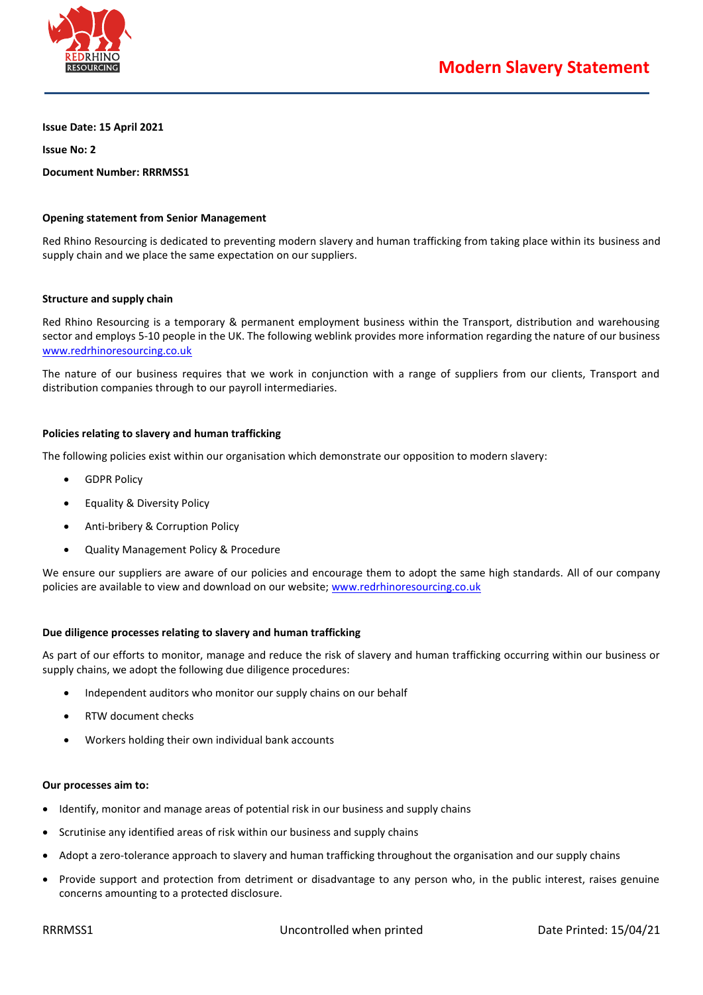

**Issue Date: 15 April 2021**

**Issue No: 2**

**Document Number: RRRMSS1**

# **Opening statement from Senior Management**

Red Rhino Resourcing is dedicated to preventing modern slavery and human trafficking from taking place within its business and supply chain and we place the same expectation on our suppliers.

### **Structure and supply chain**

Red Rhino Resourcing is a temporary & permanent employment business within the Transport, distribution and warehousing sector and employs 5-10 people in the UK. The following weblink provides more information regarding the nature of our business [www.redrhinoresourcing.co.uk](file:///C:/Users/User/Desktop/Policies/Existing%20Policies/Modern%20Slavery%20Policy/www.redrhinoresourcing.co.uk)

The nature of our business requires that we work in conjunction with a range of suppliers from our clients, Transport and distribution companies through to our payroll intermediaries.

# **Policies relating to slavery and human trafficking**

The following policies exist within our organisation which demonstrate our opposition to modern slavery:

- GDPR Policy
- Equality & Diversity Policy
- Anti-bribery & Corruption Policy
- Quality Management Policy & Procedure

We ensure our suppliers are aware of our policies and encourage them to adopt the same high standards. All of our company policies are available to view and download on our website; [www.redrhinoresourcing.co.uk](file:///C:/Users/User/Desktop/Policies/Existing%20Policies/Modern%20Slavery%20Policy/www.redrhinoresourcing.co.uk)

### **Due diligence processes relating to slavery and human trafficking**

As part of our efforts to monitor, manage and reduce the risk of slavery and human trafficking occurring within our business or supply chains, we adopt the following due diligence procedures:

- Independent auditors who monitor our supply chains on our behalf
- RTW document checks
- Workers holding their own individual bank accounts

### **Our processes aim to:**

- Identify, monitor and manage areas of potential risk in our business and supply chains
- Scrutinise any identified areas of risk within our business and supply chains
- Adopt a zero-tolerance approach to slavery and human trafficking throughout the organisation and our supply chains
- Provide support and protection from detriment or disadvantage to any person who, in the public interest, raises genuine concerns amounting to a protected disclosure.